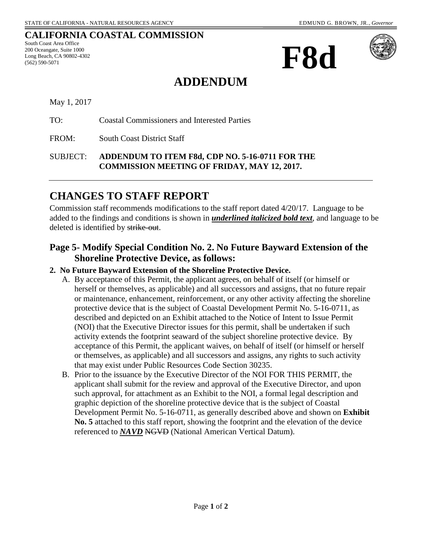#### **CALIFORNIA COASTAL COMMISSION**

South Coast Area Office 200 Oceangate, Suite 1000 Long Beach, CA 90802-4302 (562) 590-5071





# **ADDENDUM**

May 1, 2017

TO: Coastal Commissioners and Interested Parties

FROM: South Coast District Staff

SUBJECT: **ADDENDUM TO ITEM F8d, CDP NO. 5-16-0711 FOR THE COMMISSION MEETING OF FRIDAY, MAY 12, 2017.** 

## **CHANGES TO STAFF REPORT**

Commission staff recommends modifications to the staff report dated 4/20/17. Language to be added to the findings and conditions is shown in *underlined italicized bold text*, and language to be deleted is identified by strike-out.

### **Page 5- Modify Special Condition No. 2. No Future Bayward Extension of the Shoreline Protective Device, as follows:**

#### **2. No Future Bayward Extension of the Shoreline Protective Device.**

- A. By acceptance of this Permit, the applicant agrees, on behalf of itself (or himself or herself or themselves, as applicable) and all successors and assigns, that no future repair or maintenance, enhancement, reinforcement, or any other activity affecting the shoreline protective device that is the subject of Coastal Development Permit No. 5-16-0711, as described and depicted on an Exhibit attached to the Notice of Intent to Issue Permit (NOI) that the Executive Director issues for this permit, shall be undertaken if such activity extends the footprint seaward of the subject shoreline protective device. By acceptance of this Permit, the applicant waives, on behalf of itself (or himself or herself or themselves, as applicable) and all successors and assigns, any rights to such activity that may exist under Public Resources Code Section 30235.
- B. Prior to the issuance by the Executive Director of the NOI FOR THIS PERMIT, the applicant shall submit for the review and approval of the Executive Director, and upon such approval, for attachment as an Exhibit to the NOI, a formal legal description and graphic depiction of the shoreline protective device that is the subject of Coastal Development Permit No. 5-16-0711, as generally described above and shown on **Exhibit No. 5** attached to this staff report, showing the footprint and the elevation of the device referenced to *NAVD* NGVD (National American Vertical Datum).